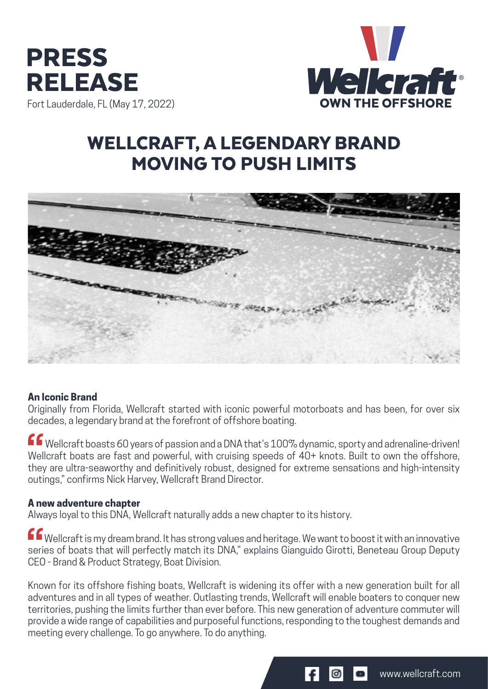



# WELLCRAFT, A LEGENDARY BRAND MOVING TO PUSH LIMITS



### **An Iconic Brand**

Originally from Florida, Wellcraft started with iconic powerful motorboats and has been, for over six decades, a legendary brand at the forefront of offshore boating.

ff wellcraft boasts 60 years of passion and a DNA that's 100% dynamic, sporty and adrenaline-driven! Wellcraft boats are fast and powerful, with cruising speeds of 40+ knots. Built to own the offshore, they are ultra-seaworthy and definitively robust, designed for extreme sensations and high-intensity outings," confirms Nick Harvey, Wellcraft Brand Director.

### **A new adventure chapter**

Always loyal to this DNA, Wellcraft naturally adds a new chapter to its history.

ff wellcraft is my dream brand. It has strong values and heritage. We want to boost it with an innovative series of boats that will perfectly match its DNA," explains Gianguido Girotti, Beneteau Group Deputy CEO - Brand & Product Strategy, Boat Division.

Known for its offshore fishing boats, Wellcraft is widening its offer with a new generation built for all adventures and in all types of weather. Outlasting trends, Wellcraft will enable boaters to conquer new territories, pushing the limits further than ever before. This new generation of adventure commuter will provide a wide range of capabilities and purposeful functions, responding to the toughest demands and meeting every challenge. To go anywhere. To do anything.